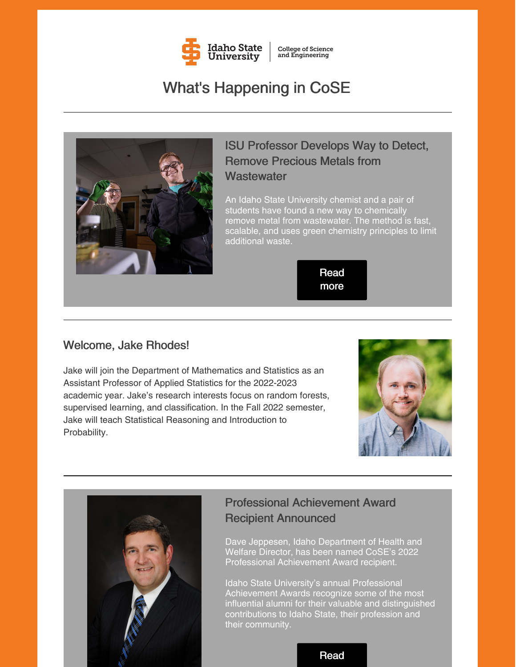

**College of Science** and Engineering

# What's Happening in CoSE



### ISU Professor Develops Way to Detect, Remove Precious Metals from **Wastewater**

An Idaho State University chemist and a pair of students have found a new way to chemically remove metal from wastewater. The method is fast, scalable, and uses green chemistry principles to limit additional waste.

> Read [more](https://www.isu.edu/news/2022-spring/-isu-professor-develops-way-to-detect-remove-precious-metals-from-wastewate.html)

### Welcome, Jake Rhodes!

Jake will join the Department of Mathematics and Statistics as an Assistant Professor of Applied Statistics for the 2022-2023 academic year. Jake's research interests focus on random forests, supervised learning, and classification. In the Fall 2022 semester, Jake will teach Statistical Reasoning and Introduction to Probability.





### Professional Achievement Award Recipient Announced

Dave Jeppesen, Idaho Department of Health and Welfare Director, has been named CoSE's 2022 Professional Achievement Award recipient.

Idaho State University's annual Professional Achievement Awards recognize some of the most influential alumni for their valuable and distinguished contributions to Idaho State, their profession and their community.

#### [Read](https://www.isu.edu/news/2022-spring/2022-professional-achievement-awards-recipients-announced-.html)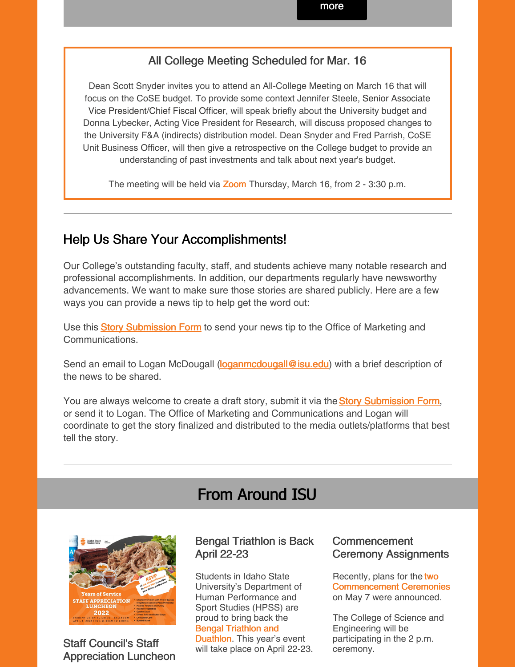### All College Meeting Scheduled for Mar. 16

Dean Scott Snyder invites you to attend an All-College Meeting on March 16 that will focus on the CoSE budget. To provide some context Jennifer Steele, Senior Associate Vice President/Chief Fiscal Officer, will speak briefly about the University budget and Donna Lybecker, Acting Vice President for Research, will discuss proposed changes to the University F&A (indirects) distribution model. Dean Snyder and Fred Parrish, CoSE Unit Business Officer, will then give a retrospective on the College budget to provide an understanding of past investments and talk about next year's budget.

The meeting will be held via [Zoom](https://isu.zoom.us/j/83671039173?pwd=S3J1N3ZZS1d6TXJQMFFOZ2ZTc2J4dz09) Thursday, March 16, from 2 - 3:30 p.m.

### Help Us Share Your Accomplishments!

Our College's outstanding faculty, staff, and students achieve many notable research and professional accomplishments. In addition, our departments regularly have newsworthy advancements. We want to make sure those stories are shared publicly. Here are a few ways you can provide a news tip to help get the word out:

U[s](https://www.isu.edu/news/story-form/)e this **Story [Submission](https://www.isu.edu/news/story-form/) Form** to send your news tip to the Office of Marketing and Communications.

Send an email to Logan McDougall (loganmcdougall @isu.edu) with a brief description of the news to be shared.

You ar[e](https://www.isu.edu/news/story-form/) always welcome to create a draft story, submit it via the **Story [Submission](https://www.isu.edu/news/story-form/) Form**, or send it to Logan. The Office of Marketing and Communications and Logan will coordinate to get the story finalized and distributed to the media outlets/platforms that best tell the story.

## From Around ISU



Staff Council's Staff Appreciation Luncheon

### Bengal Triathlon is Back April 22-23

Students in Idaho State University's Department of Human Performance and Sport Studies (HPSS) are proud to bring back the Bengal Triathlon and [Duathlon.](https://www.isu.edu/news/2022-spring/bengal-triathlon-is-back-april-22-23.html) This year's event will take place on April 22-23.

### Commencement Ceremony Assignments

Recently, plans for the two [Commencement](https://myemail.constantcontact.com/Commencement-Ceremony-Assignments.html?soid=1127399030149&aid=0CBEhWB4ukc) Ceremonies on May 7 were announced.

The College of Science and Engineering will be participating in the 2 p.m. ceremony.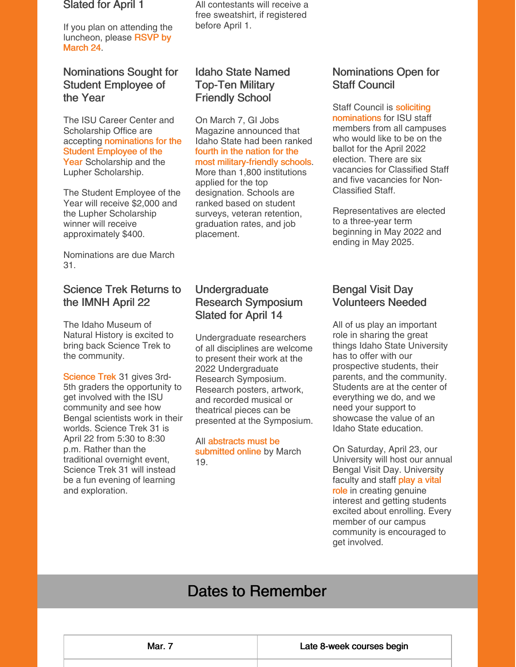#### Slated for April 1

If you plan on attending the [luncheon,](https://www.isu.edu/staffcouncil/) please RSVP by March 24.

### Nominations Sought for Student Employee of the Year

The ISU Career Center and Scholarship Office are accepting [nominations](https://www.isu.edu/career/student-employee-of-the-year/) for the Student Employee of the Year Scholarship and the Lupher Scholarship.

The Student Employee of the Year will receive \$2,000 and the Lupher Scholarship winner will receive approximately \$400.

Nominations are due March 31.

### Science Trek Returns to the IMNH April 22

The Idaho Museum of Natural History is excited to bring back Science Trek to the community.

[Science](https://www.isu.edu/imnh/imnh-events/science-trek-31/) Trek 31 gives 3rd-5th graders the opportunity to get involved with the ISU community and see how Bengal scientists work in their worlds. Science Trek 31 is April 22 from 5:30 to 8:30 p.m. Rather than the traditional overnight event, Science Trek 31 will instead be a fun evening of learning and exploration.

All contestants will receive a free sweatshirt, if registered before April 1.

### Idaho State Named Top-Ten Military Friendly School

On March 7, GI Jobs Magazine announced that Idaho State had been ranked fourth in the nation for the most [military-friendly](https://www.isu.edu/news/2022-spring/idaho-state-named-a-top-ten-military-friendly-university.html) schools. More than 1,800 institutions applied for the top designation. Schools are ranked based on student surveys, veteran retention, graduation rates, and job placement.

### **Undergraduate** Research Symposium Slated for April 14

Undergraduate researchers of all disciplines are welcome to present their work at the 2022 Undergraduate Research Symposium. Research posters, artwork, and recorded musical or theatrical pieces can be presented at the Symposium.

All [abstracts](https://myemail.constantcontact.com/Save-the-Date--2022-Undergraduate-Research-Symposium.html?soid=1127399030149&aid=Po_HV3AP1vk) must be submitted online by March 19.

### Nominations Open for Staff Council

Staff Council is **soliciting** [nominations](https://www.isu.edu/news/2022-spring/nominations-open-for-staff-council.html) for ISU staff members from all campuses who would like to be on the ballot for the April 2022 election. There are six vacancies for Classified Staff and five vacancies for Non-Classified Staff.

Representatives are elected to a three-year term beginning in May 2022 and ending in May 2025.

### Bengal Visit Day Volunteers Needed

All of us play an important role in sharing the great things Idaho State University has to offer with our prospective students, their parents, and the community. Students are at the center of everything we do, and we need your support to showcase the value of an Idaho State education.

On Saturday, April 23, our University will host our annual Bengal Visit Day. University faculty and staff play a vital role in creating [genuine](https://myemail.constantcontact.com/We-Need-Your-Help-and-Support.html?soid=1127399030149&aid=dYxrKzsU4n8) interest and getting students excited about enrolling. Every member of our campus community is encouraged to get involved.

# Dates to Remember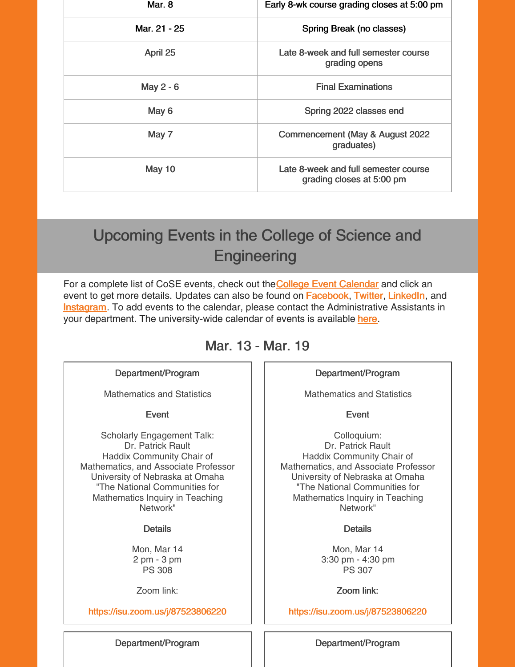| Mar. 8        | Early 8-wk course grading closes at 5:00 pm                       |
|---------------|-------------------------------------------------------------------|
| Mar. 21 - 25  | Spring Break (no classes)                                         |
| April 25      | Late 8-week and full semester course<br>grading opens             |
| May 2 - 6     | <b>Final Examinations</b>                                         |
| May 6         | Spring 2022 classes end                                           |
| May 7         | Commencement (May & August 2022<br>graduates)                     |
| <b>May 10</b> | Late 8-week and full semester course<br>grading closes at 5:00 pm |

# Upcoming Events in the College of Science and **Engineering**

For a compl[e](https://isu.edu/cse/calendar/)te list of CoSE events, check out the College Event [Calendar](https://isu.edu/cse/calendar/) and click an event to get more details. Updates can also be found on **[Facebook](https://www.facebook.com/IdahoStateUCoSE)**, [Twitter](https://twitter.com/IdahoStateUCoSE), [LinkedIn](https://www.linkedin.com/company/idaho-state-university-college-of-science-and-engineering), and **[Instagram](https://www.instagram.com/idahostateucose/)**. To add events to the calendar, please contact the Administrative Assistants in your department. The university-wide calendar of events is available [here](https://www.isu.edu/calendar/).

### Mar. 13 - Mar. 19

#### Department/Program

Mathematics and Statistics

#### Event

Scholarly Engagement Talk: Dr. Patrick Rault Haddix Community Chair of Mathematics, and Associate Professor University of Nebraska at Omaha "The National Communities for Mathematics Inquiry in Teaching Network"

#### **Details**

Mon, Mar 14 2 pm - 3 pm PS 308

Zoom link:

<https://isu.zoom.us/j/87523806220>

#### Department/Program

Mathematics and Statistics

#### Event

Colloquium: Dr. Patrick Rault Haddix Community Chair of Mathematics, and Associate Professor University of Nebraska at Omaha "The National Communities for Mathematics Inquiry in Teaching Network"

#### **Details**

Mon, Mar 14 3:30 pm - 4:30 pm PS 307

Zoom link:

<https://isu.zoom.us/j/87523806220>

Department/Program | | Department/Program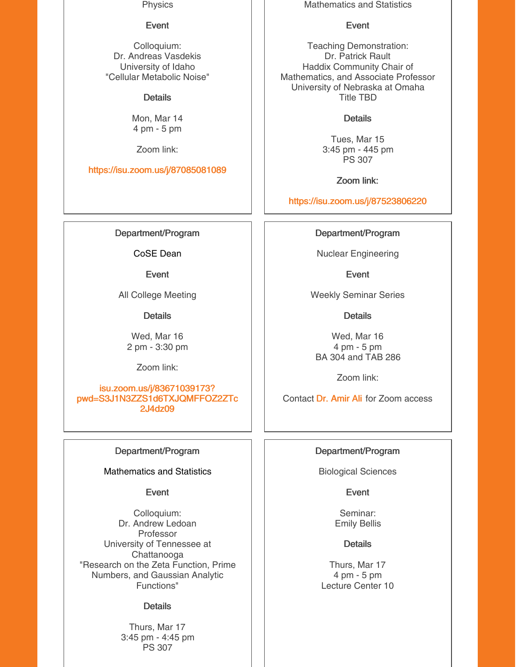**Physics** 

#### Event

Colloquium: Dr. Andreas Vasdekis University of Idaho "Cellular Metabolic Noise"

**Details** 

Mon, Mar 14 4 pm - 5 pm

Zoom link:

<https://isu.zoom.us/j/87085081089>

Department/Program

CoSE Dean

Event

All College Meeting

**Details** 

Wed, Mar 16 2 pm - 3:30 pm

Zoom link:

isu.zoom.us/j/83671039173? [pwd=S3J1N3ZZS1d6TXJQMFFOZ2ZTc](https://isu.zoom.us/j/83671039173?pwd=S3J1N3ZZS1d6TXJQMFFOZ2ZTc2J4dz09) 2J4dz09

#### Department/Program

Mathematics and Statistics

Event

Colloquium: Dr. Andrew Ledoan Professor University of Tennessee at Chattanooga "Research on the Zeta Function, Prime Numbers, and Gaussian Analytic Functions"

#### **Details**

Thurs, Mar 17 3:45 pm - 4:45 pm PS 307

Mathematics and Statistics

#### Event

Teaching Demonstration: Dr. Patrick Rault Haddix Community Chair of Mathematics, and Associate Professor University of Nebraska at Omaha Title TBD

### **Details**

Tues, Mar 15 3:45 pm - 445 pm PS 307

Zoom link:

<https://isu.zoom.us/j/87523806220>

Department/Program

Nuclear Engineering

Event

Weekly Seminar Series

**Details** 

Wed, Mar 16 4 pm - 5 pm BA 304 and TAB 286

Zoom link:

Contact Dr. [Amir](mailto:aliamir@isu.edu) Ali for Zoom access

#### Department/Program

Biological Sciences

Event

Seminar: Emily Bellis

**Details** 

Thurs, Mar 17 4 pm - 5 pm Lecture Center 10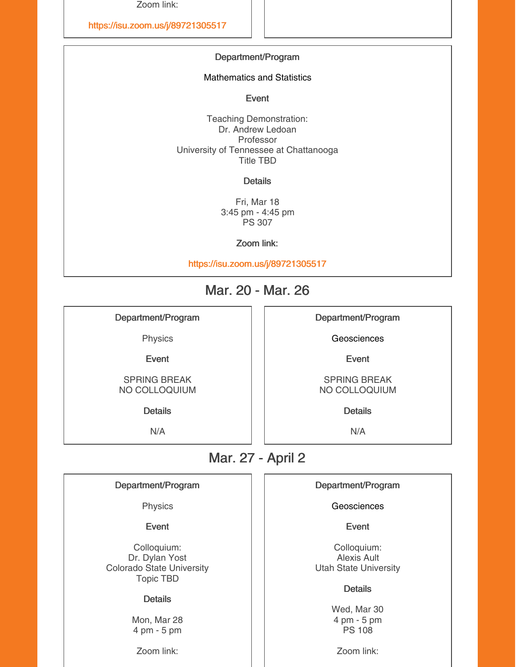Zoom link:

<https://isu.zoom.us/j/89721305517>

#### Department/Program

Mathematics and Statistics

Event

Teaching Demonstration: Dr. Andrew Ledoan Professor University of Tennessee at Chattanooga Title TBD

**Details** 

Fri, Mar 18 3:45 pm - 4:45 pm PS 307

Zoom link:

<https://isu.zoom.us/j/89721305517>

### Mar. 20 - Mar. 26

Department/Program

Physics

Event

SPRING BREAK NO COLLOQUIUM

Details

N/A

Department/Program

**Geosciences** 

Event

SPRING BREAK NO COLLOQUIUM

**Details** 

N/A

### Mar. 27 - April 2

#### Department/Program

Physics

Event

Colloquium: Dr. Dylan Yost Colorado State University Topic TBD

#### **Details**

Mon, Mar 28 4 pm - 5 pm

Zoom link:

#### Department/Program

**Geosciences** 

Event

Colloquium: Alexis Ault Utah State University

#### **Details**

Wed, Mar 30 4 pm - 5 pm PS 108

Zoom link: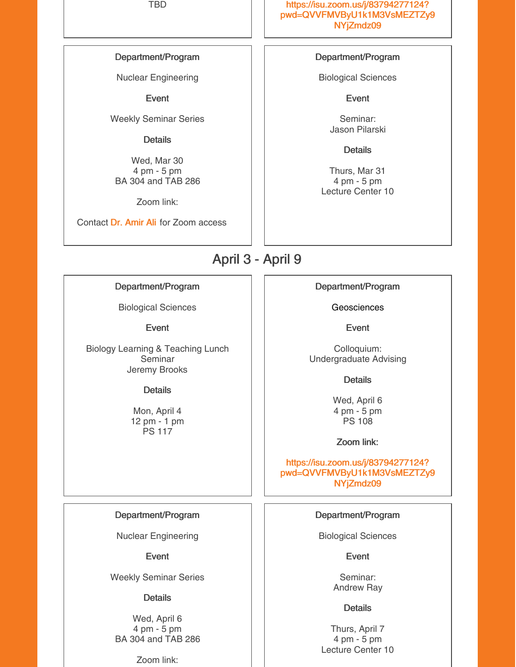#### Department/Program

Nuclear Engineering

Event

Weekly Seminar Series

#### **Details**

Wed, Mar 30 4 pm - 5 pm BA 304 and TAB 286

Zoom link:

Contact Dr. [Amir](mailto:aliamir@isu.edu) Ali for Zoom access

TBD https://isu.zoom.us/j/83794277124? [pwd=QVVFMVByU1k1M3VsMEZTZy9](https://isu.zoom.us/j/83794277124?pwd=QVVFMVByU1k1M3VsMEZTZy9NYjZmdz09) NYjZmdz09

#### Department/Program

Biological Sciences

**Event** 

Seminar: Jason Pilarski

**Details** 

Thurs, Mar 31 4 pm - 5 pm Lecture Center 10

### April 3 - April 9

Department/Program

Biological Sciences

Event

Biology Learning & Teaching Lunch Seminar Jeremy Brooks

#### **Details**

Mon, April 4 12 pm - 1 pm PS 117

#### Department/Program

Nuclear Engineering

#### Event

Weekly Seminar Series

#### **Details**

Wed, April 6 4 pm - 5 pm BA 304 and TAB 286

Zoom link:

Department/Program

**Geosciences** 

Event

Colloquium: Undergraduate Advising

**Details** 

Wed, April 6 4 pm - 5 pm PS 108

Zoom link:

https://isu.zoom.us/j/83794277124? [pwd=QVVFMVByU1k1M3VsMEZTZy9](https://isu.zoom.us/j/83794277124?pwd=QVVFMVByU1k1M3VsMEZTZy9NYjZmdz09) NYjZmdz09

#### Department/Program

Biological Sciences

**Event** 

Seminar: Andrew Ray

#### **Details**

Thurs, April 7 4 pm - 5 pm Lecture Center 10